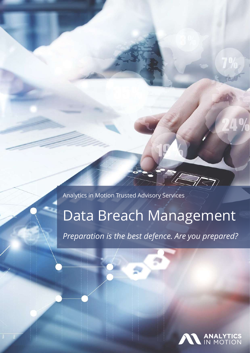Analytics in Motion Trusted Advisory Services

# Data Breach Management

*Preparation is the best defence. Are you prepared?*

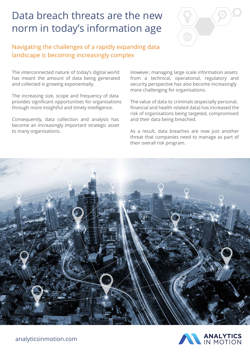### Data breach threats are the new norm in today's information age



### Navigating the challenges of a rapidly expanding data landscape is becoming increasingly complex

The interconnected nature of today's digital world has meant the amount of data being generated and collected is growing exponentially.

The increasing size, scope and frequency of data provides significant opportunities for organisations through more insightful and timely intelligence.

Consequently, data collection and analysis has become an increasingly important strategic asset to many organisations.

However, managing large scale information assets from a technical, operational, regulatory and security perspective has also become increasingly more challenging for organisations.

The value of data to criminals (especially personal, financial and health related data) has increased the risk of organisations being targeted, compromised and their data being breached.

As a result, data breaches are now just another threat that companies need to manage as part of their overall risk program.



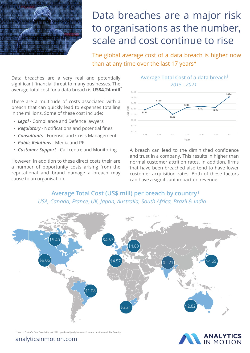

## Data breaches are a major risk to organisations as the number, scale and cost continue to rise

**†** than at any time over the last 17 yearsThe global average cost of a data breach is higher now

Data breaches are a very real and potentially significant financial threat to many businesses. The average total cost for a data breach is **US\$4.24 mill†**

 in the millions. Some of these cost include: There are a multitude of costs associated with a breach that can quickly lead to expenses totalling

- *Legal* Compliance and Defence lawyers
- **•** *Regulatory* Notifications and potential fines
- **•** *Consultants* Forensic and Crisis Management
- *Public Relations* Media and PR
- **•** *Customer Support* Call centre and Monitoring

However, in addition to these direct costs their are a number of opportunity costs arising from the reputational and brand damage a breach may cause to an organisation.



A breach can lead to the diminished confidence and trust in a company. This results in higher than normal customer attrition rates. In addition, firms that have been breached also tend to have lower customer acquisition rates. Both of these factors can have a significant impact on revenue.

**Average Total Cost (US\$ mill) per breach by country** † *USA, Canada, France, UK, Japan, Australia, South Africa, Brazil & India*





analyticsinmotion.com

**†** *Source:* Cost of a Data Breach Report 2021 - produced jointly between Ponemon Institute and IBM Security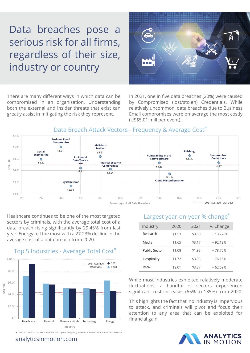# Data breaches pose a serious risk for all firms, regardless of their size, industry or country

There are many different ways in which data can be compromised in an organisation. Understanding both the external and insider threats that exist can greatly assist in mitigating the risk they represent.

In 2021, one in five data breaches (20%) were caused by Compromised (lost/stolen) Credentials. While relatively uncommon, data breaches due to Business Email compromises were on average the most costly (US\$5.01 mill per event).

#### **\*** Data Breach Attack Vectors - Frequency & Average Cost



Healthcare continues to be one of the most targeted sectors by criminals, with the average total cost of a data breach rising significantly by 29.45% from last year. Energy fell the most with a 27.23% decline in the average cost of a data breach from 2020.



**\*** *Source:* Cost of a Data Breach Report 2021 - produced jointly between Ponemon Institute and IBM Security

analyticsinmotion.com

#### Largest year-on-year % change **\***

| Industry      | 2020   | 2021   | % Change   |
|---------------|--------|--------|------------|
| Research      | \$1.53 | \$3.60 | $+135.29%$ |
| Media         | \$1.65 | \$3.17 | $+92.12%$  |
| Public Sector | \$1.08 | \$1.93 | +78.70%    |
| Hospitality   | \$1.72 | \$3.03 | $+76.16%$  |
| Retail        | \$2.01 | \$3.27 | $+62.69%$  |

While most industries exhibited relatively moderate fluctuations, a handful of sectors experienced significant cost increases (65% to 135%) from 2020.

This highlights the fact that no industry is impervious to attack, and criminals will pivot and focus their attention to any area that can be exploited for financial gain.



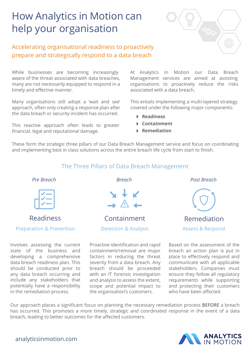## How Analytics in Motion can help your organisation

### Accelerating organisational readiness to proactively prepare and strategically respond to a data breach

While businesses are becoming increasingly aware of the threat associated with data breaches, many are not necessarily equipped to respond in a timely and effective manner.

Many organisations still adopt a 'wait and see' approach, often only creating a response plan after the data breach or security incident has occurred.

This reactive approach often leads to greater financial, legal and reputational damage.

At Analytics in Motion our Data Breach Management services are aimed at assisting organisations to proactively reduce the risks associated with a data breach.

This entails implementing a multi-layered strategy covered under the following major components:

- **Readiness**
- **Containment**
- **Remediation**

These form the strategic three pillars of our Data Breach Management service and focus on coordinating and implementing best in class solutions across the entire breach life cycle from start to finish.

#### The Three Pillars of Data Breach Management

*Pre Breach Breach Post Breach*



Preparation & Prevention Detection & Analysis Assess & Respond

Involves assessing the current state of the business and developing a comprehensive data breach readiness plan. This should be conducted prior to any data breach occurring and include any stakeholders that potentially have a responsibility in the remediation process.



Readiness **Containment** Remediation

Proactive identification and rapid containment/removal are major factors in reducing the threat severity from a data breach. Any breach should be proceeded with an IT forensic investigation and analysis to assess the extent, scope and potential impact to the organisation's customers.



Based on the assessment of the breach an action plan is put in place to effectively respond and communicate with all applicable stakeholders. Companies must ensure they follow all regulatory requirements while supporting and protecting their customers who have been affected.

Our approach places a significant focus on planning the necessary remediation process **BEFORE** a breach has occurred. This promotes a more timely, strategic and coordinated response in the event of a data breach, leading to better outcomes for the affected customers.



analyticsinmotion.com